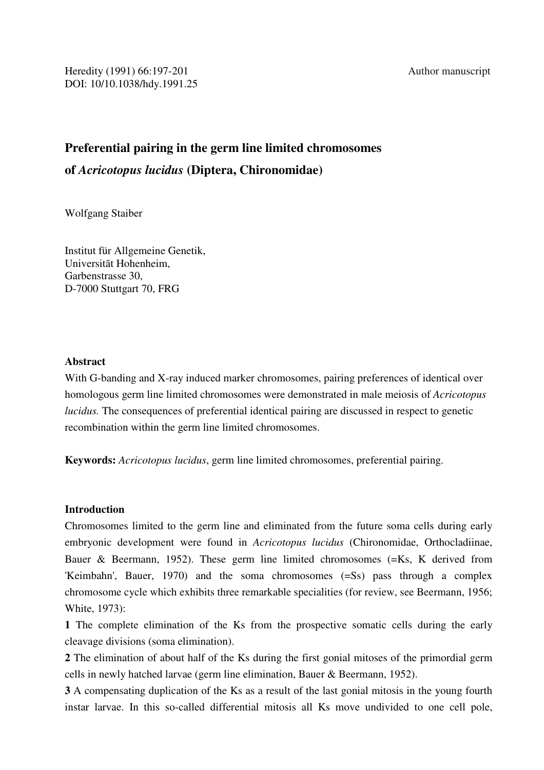# **Preferential pairing in the germ line limited chromosomes of** *Acricotopus lucidus* **(Diptera, Chironomidae)**

Wolfgang Staiber

Institut für Allgemeine Genetik, Universitãt Hohenheim, Garbenstrasse 30, D-7000 Stuttgart 70, FRG

## **Abstract**

With G-banding and X-ray induced marker chromosomes, pairing preferences of identical over homologous germ line limited chromosomes were demonstrated in male meiosis of *Acricotopus lucidus.* The consequences of preferential identical pairing are discussed in respect to genetic recombination within the germ line limited chromosomes.

**Keywords:** *Acricotopus lucidus*, germ line limited chromosomes, preferential pairing.

## **Introduction**

Chromosomes limited to the germ line and eliminated from the future soma cells during early embryonic development were found in *Acricotopus lucidus* (Chironomidae, Orthocladiinae, Bauer & Beermann, 1952). These germ line limited chromosomes (=Ks, K derived from 'Keimbahn', Bauer, 1970) and the soma chromosomes (=Ss) pass through a complex chromosome cycle which exhibits three remarkable specialities (for review, see Beermann, 1956; White, 1973):

**1** The complete elimination of the Ks from the prospective somatic cells during the early cleavage divisions (soma elimination).

**2** The elimination of about half of the Ks during the first gonial mitoses of the primordial germ cells in newly hatched larvae (germ line elimination, Bauer & Beermann, 1952).

**3** A compensating duplication of the Ks as a result of the last gonial mitosis in the young fourth instar larvae. In this so-called differential mitosis all Ks move undivided to one cell pole,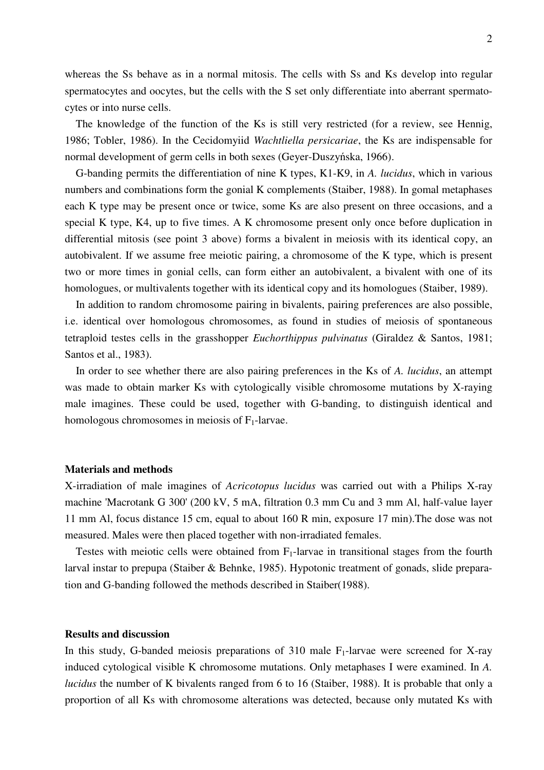whereas the Ss behave as in a normal mitosis. The cells with Ss and Ks develop into regular spermatocytes and oocytes, but the cells with the S set only differentiate into aberrant spermatocytes or into nurse cells.

 The knowledge of the function of the Ks is still very restricted (for a review, see Hennig, 1986; Tobler, 1986). In the Cecidomyiid *Wachtliella persicariae*, the Ks are indispensable for normal development of germ cells in both sexes (Geyer-Duszyńska, 1966).

 G-banding permits the differentiation of nine K types, K1-K9, in *A. lucidus*, which in various numbers and combinations form the gonial K complements (Staiber, 1988). In gomal metaphases each K type may be present once or twice, some Ks are also present on three occasions, and a special K type, K4, up to five times. A K chromosome present only once before duplication in differential mitosis (see point 3 above) forms a bivalent in meiosis with its identical copy, an autobivalent. If we assume free meiotic pairing, a chromosome of the K type, which is present two or more times in gonial cells, can form either an autobivalent, a bivalent with one of its homologues, or multivalents together with its identical copy and its homologues (Staiber, 1989).

 In addition to random chromosome pairing in bivalents, pairing preferences are also possible, i.e. identical over homologous chromosomes, as found in studies of meiosis of spontaneous tetraploid testes cells in the grasshopper *Euchorthippus pulvinatus* (Giraldez & Santos, 1981; Santos et al., 1983).

 In order to see whether there are also pairing preferences in the Ks of *A. lucidus*, an attempt was made to obtain marker Ks with cytologically visible chromosome mutations by X-raying male imagines. These could be used, together with G-banding, to distinguish identical and homologous chromosomes in meiosis of  $F_1$ -larvae.

#### **Materials and methods**

X-irradiation of male imagines of *Acricotopus lucidus* was carried out with a Philips X-ray machine 'Macrotank G 300' (200 kV, 5 mA, filtration 0.3 mm Cu and 3 mm Al, half-value layer 11 mm Al, focus distance 15 cm, equal to about 160 R min, exposure 17 min).The dose was not measured. Males were then placed together with non-irradiated females.

Testes with meiotic cells were obtained from  $F_1$ -larvae in transitional stages from the fourth larval instar to prepupa (Staiber & Behnke, 1985). Hypotonic treatment of gonads, slide preparation and G-banding followed the methods described in Staiber(1988).

#### **Results and discussion**

In this study, G-banded meiosis preparations of 310 male  $F_1$ -larvae were screened for X-ray induced cytological visible K chromosome mutations. Only metaphases I were examined. In *A. lucidus* the number of K bivalents ranged from 6 to 16 (Staiber, 1988). It is probable that only a proportion of all Ks with chromosome alterations was detected, because only mutated Ks with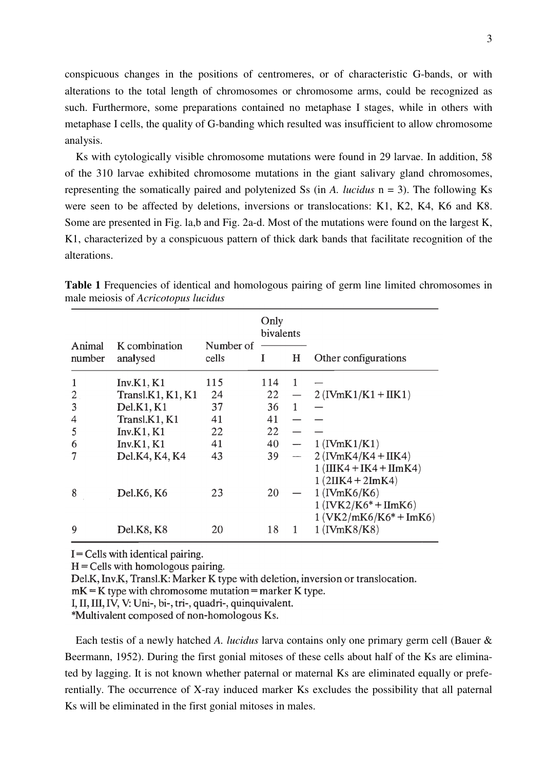conspicuous changes in the positions of centromeres, or of characteristic G-bands, or with alterations to the total length of chromosomes or chromosome arms, could be recognized as such. Furthermore, some preparations contained no metaphase I stages, while in others with metaphase I cells, the quality of G-banding which resulted was insufficient to allow chromosome analysis.

 Ks with cytologically visible chromosome mutations were found in 29 larvae. In addition, 58 of the 310 larvae exhibited chromosome mutations in the giant salivary gland chromosomes, representing the somatically paired and polytenized Ss (in *A. lucidus* n = 3). The following Ks were seen to be affected by deletions, inversions or translocations: K1, K2, K4, K6 and K8. Some are presented in Fig. la,b and Fig. 2a-d. Most of the mutations were found on the largest K, K1, characterized by a conspicuous pattern of thick dark bands that facilitate recognition of the alterations.

|                  |                           |                    | Only<br>bivalents |   |                                                                      |
|------------------|---------------------------|--------------------|-------------------|---|----------------------------------------------------------------------|
| Animal<br>number | K combination<br>analysed | Number of<br>cells | I                 | H | Other configurations                                                 |
|                  | Inv.K1, K1                | 115                | 114               | 1 |                                                                      |
| 2                | Transl.K1, K1, K1         | 24                 | 22                |   | $2$ (IVmK1/K1 + IIK1)                                                |
| 3                | Del.K1, K1                | 37                 | 36                | 1 |                                                                      |
| 4                | Transl.K1, K1             | 41                 | 41                |   |                                                                      |
| 5                | Inv.K1, K1                | 22                 | 22                |   |                                                                      |
| 6                | Inv.K1, K1                | 41                 | 40                |   | $1$ (IVmK $1/K1$ )                                                   |
|                  | Del.K4, K4, K4            | 43                 | 39                |   | $2$ (IVmK4/K4 + IIK4)                                                |
|                  |                           |                    |                   |   | $1$ (IIIK4 + IK4 + IImK4)<br>$1(2IIK4 + 2ImK4)$                      |
| 8                | Del.K6, K6                | 23                 | 20                |   | $1$ (IVmK6/K6)<br>$1$ (IVK2/K6* + IImK6)<br>$1 (VK2/mK6/K6* + ImK6)$ |
| 9                | Del.K8, K8                | 20                 | 18                | 1 | $1$ (IVmK8/K8)                                                       |

**Table 1** Frequencies of identical and homologous pairing of germ line limited chromosomes in male meiosis of *Acricotopus lucidus*

 $I =$  Cells with identical pairing.

 $H =$ Cells with homologous pairing.

Del.K, Inv.K, Transl.K: Marker K type with deletion, inversion or translocation.

 $mK = K$  type with chromosome mutation = marker K type.

I, II, III, IV, V: Uni-, bi-, tri-, quadri-, quinquivalent.

\*Multivalent composed of non-homologous Ks.

 Each testis of a newly hatched *A. lucidus* larva contains only one primary germ cell (Bauer & Beermann, 1952). During the first gonial mitoses of these cells about half of the Ks are eliminated by lagging. It is not known whether paternal or maternal Ks are eliminated equally or preferentially. The occurrence of X-ray induced marker Ks excludes the possibility that all paternal Ks will be eliminated in the first gonial mitoses in males.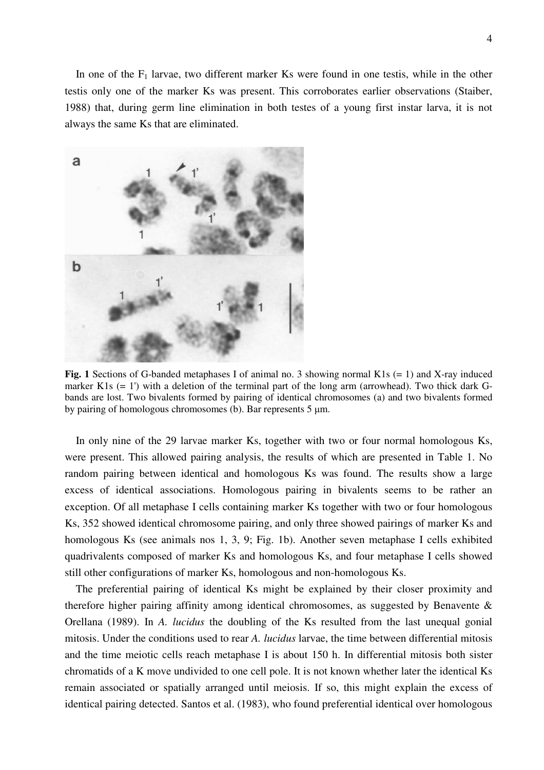4

In one of the  $F_1$  larvae, two different marker Ks were found in one testis, while in the other testis only one of the marker Ks was present. This corroborates earlier observations (Staiber, 1988) that, during germ line elimination in both testes of a young first instar larva, it is not always the same Ks that are eliminated.



Fig. 1 Sections of G-banded metaphases I of animal no. 3 showing normal K1s (= 1) and X-ray induced marker K1s (= 1') with a deletion of the terminal part of the long arm (arrowhead). Two thick dark Gbands are lost. Two bivalents formed by pairing of identical chromosomes (a) and two bivalents formed by pairing of homologous chromosomes (b). Bar represents 5 µm.

 In only nine of the 29 larvae marker Ks, together with two or four normal homologous Ks, were present. This allowed pairing analysis, the results of which are presented in Table 1. No random pairing between identical and homologous Ks was found. The results show a large excess of identical associations. Homologous pairing in bivalents seems to be rather an exception. Of all metaphase I cells containing marker Ks together with two or four homologous Ks, 352 showed identical chromosome pairing, and only three showed pairings of marker Ks and homologous Ks (see animals nos 1, 3, 9; Fig. 1b). Another seven metaphase I cells exhibited quadrivalents composed of marker Ks and homologous Ks, and four metaphase I cells showed still other configurations of marker Ks, homologous and non-homologous Ks.

 The preferential pairing of identical Ks might be explained by their closer proximity and therefore higher pairing affinity among identical chromosomes, as suggested by Benavente  $\&$ Orellana (1989). In *A. lucidus* the doubling of the Ks resulted from the last unequal gonial mitosis. Under the conditions used to rear *A. lucidus* larvae, the time between differential mitosis and the time meiotic cells reach metaphase I is about 150 h. In differential mitosis both sister chromatids of a K move undivided to one cell pole. It is not known whether later the identical Ks remain associated or spatially arranged until meiosis. If so, this might explain the excess of identical pairing detected. Santos et al. (1983), who found preferential identical over homologous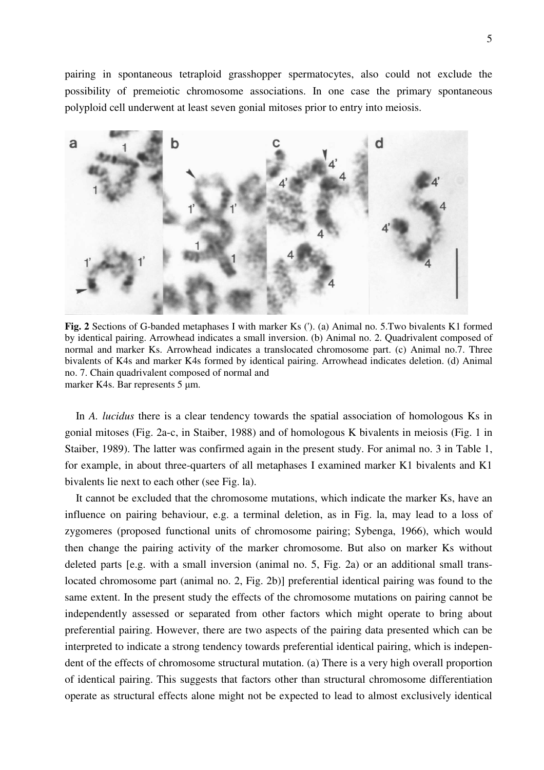pairing in spontaneous tetraploid grasshopper spermatocytes, also could not exclude the possibility of premeiotic chromosome associations. In one case the primary spontaneous polyploid cell underwent at least seven gonial mitoses prior to entry into meiosis.



**Fig. 2** Sections of G-banded metaphases I with marker Ks ('). (a) Animal no. 5.Two bivalents K1 formed by identical pairing. Arrowhead indicates a small inversion. (b) Animal no. 2. Quadrivalent composed of normal and marker Ks. Arrowhead indicates a translocated chromosome part. (c) Animal no.7. Three bivalents of K4s and marker K4s formed by identical pairing. Arrowhead indicates deletion. (d) Animal no. 7. Chain quadrivalent composed of normal and marker K4s. Bar represents 5 µm.

 In *A. lucidus* there is a clear tendency towards the spatial association of homologous Ks in gonial mitoses (Fig. 2a-c, in Staiber, 1988) and of homologous K bivalents in meiosis (Fig. 1 in Staiber, 1989). The latter was confirmed again in the present study. For animal no. 3 in Table 1, for example, in about three-quarters of all metaphases I examined marker K1 bivalents and K1 bivalents lie next to each other (see Fig. la).

 It cannot be excluded that the chromosome mutations, which indicate the marker Ks, have an influence on pairing behaviour, e.g. a terminal deletion, as in Fig. la, may lead to a loss of zygomeres (proposed functional units of chromosome pairing; Sybenga, 1966), which would then change the pairing activity of the marker chromosome. But also on marker Ks without deleted parts [e.g. with a small inversion (animal no. 5, Fig. 2a) or an additional small translocated chromosome part (animal no. 2, Fig. 2b)] preferential identical pairing was found to the same extent. In the present study the effects of the chromosome mutations on pairing cannot be independently assessed or separated from other factors which might operate to bring about preferential pairing. However, there are two aspects of the pairing data presented which can be interpreted to indicate a strong tendency towards preferential identical pairing, which is independent of the effects of chromosome structural mutation. (a) There is a very high overall proportion of identical pairing. This suggests that factors other than structural chromosome differentiation operate as structural effects alone might not be expected to lead to almost exclusively identical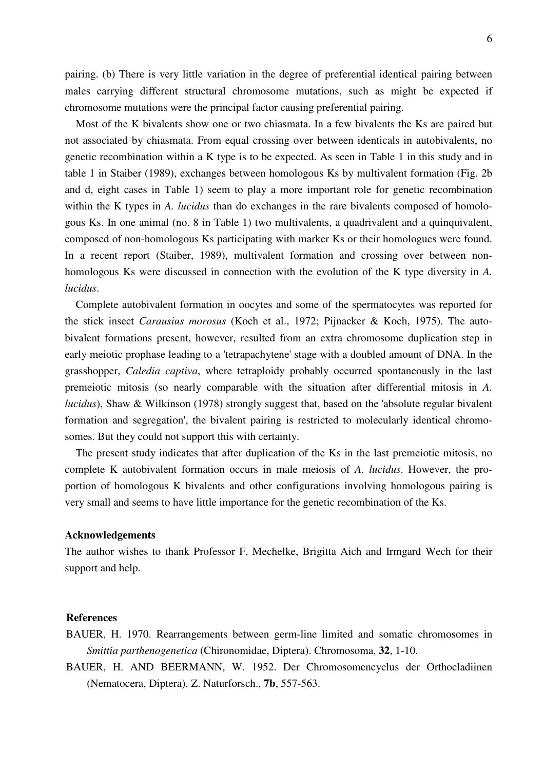pairing. (b) There is very little variation in the degree of preferential identical pairing between males carrying different structural chromosome mutations, such as might be expected if chromosome mutations were the principal factor causing preferential pairing.

 Most of the K bivalents show one or two chiasmata. In a few bivalents the Ks are paired but not associated by chiasmata. From equal crossing over between identicals in autobivalents, no genetic recombination within a K type is to be expected. As seen in Table 1 in this study and in table 1 in Staiber (1989), exchanges between homologous Ks by multivalent formation (Fig. 2b and d, eight cases in Table 1) seem to play a more important role for genetic recombination within the K types in *A. lucidus* than do exchanges in the rare bivalents composed of homologous Ks. In one animal (no. 8 in Table 1) two multivalents, a quadrivalent and a quinquivalent, composed of non-homologous Ks participating with marker Ks or their homologues were found. In a recent report (Staiber, 1989), multivalent formation and crossing over between nonhomologous Ks were discussed in connection with the evolution of the K type diversity in *A. lucidus*.

 Complete autobivalent formation in oocytes and some of the spermatocytes was reported for the stick insect *Carausius morosus* (Koch et al., 1972; Pijnacker & Koch, 1975). The autobivalent formations present, however, resulted from an extra chromosome duplication step in early meiotic prophase leading to a 'tetrapachytene' stage with a doubled amount of DNA. In the grasshopper, *Caledia captiva*, where tetraploidy probably occurred spontaneously in the last premeiotic mitosis (so nearly comparable with the situation after differential mitosis in *A. lucidus*), Shaw & Wilkinson (1978) strongly suggest that, based on the 'absolute regular bivalent formation and segregation', the bivalent pairing is restricted to molecularly identical chromosomes. But they could not support this with certainty.

 The present study indicates that after duplication of the Ks in the last premeiotic mitosis, no complete K autobivalent formation occurs in male meiosis of *A. lucidus*. However, the proportion of homologous K bivalents and other configurations involving homologous pairing is very small and seems to have little importance for the genetic recombination of the Ks.

#### **Acknowledgements**

The author wishes to thank Professor F. Mechelke, Brigitta Aich and Irmgard Wech for their support and help.

### **References**

- BAUER, H. 1970. Rearrangements between germ-line limited and somatic chromosomes in *Smittia parthenogenetica* (Chironomidae, Diptera). Chromosoma, **32**, 1-10.
- BAUER, H. AND BEERMANN, W. 1952. Der Chromosomencyclus der Orthocladiinen (Nematocera, Diptera). Z. Naturforsch., **7b**, 557-563.